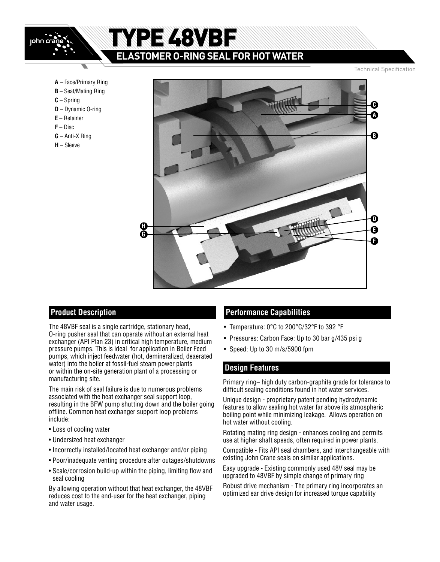**A** – Face/Primary Ring

TYPE 48VBF

**ELASTOMER O-RING SEAL FOR HOT WATER**

- **B** Seat/Mating Ring
- **C** Spring

john cr

- **D** Dynamic O-ring
- **E** Retainer
- **F**  Disc
- **G** Anti-X Ring
- **H** Sleeve



### **Product Description**

The 48VBF seal is a single cartridge, stationary head, O-ring pusher seal that can operate without an external heat exchanger (API Plan 23) in critical high temperature, medium pressure pumps. This is ideal for application in Boiler Feed pumps, which inject feedwater (hot, demineralized, deaerated water) into the boiler at fossil-fuel steam power plants or within the on-site generation plant of a processing or manufacturing site.

The main risk of seal failure is due to numerous problems associated with the heat exchanger seal support loop, resulting in the BFW pump shutting down and the boiler going offline. Common heat exchanger support loop problems include:

- Loss of cooling water
- Undersized heat exchanger
- Incorrectly installed/located heat exchanger and/or piping
- Poor/inadequate venting procedure after outages/shutdowns
- Scale/corrosion build-up within the piping, limiting flow and seal cooling

By allowing operation without that heat exchanger, the 48VBF reduces cost to the end-user for the heat exchanger, piping and water usage.

### **Performance Capabilities**

- Temperature: 0°C to 200°C/32°F to 392 °F
- Pressures: Carbon Face: Up to 30 bar g/435 psi g
- Speed: Up to 30 m/s/5900 fpm

### **Design Features**

Primary ring– high duty carbon-graphite grade for tolerance to difficult sealing conditions found in hot water services.

Unique design - proprietary patent pending hydrodynamic features to allow sealing hot water far above its atmospheric boiling point while minimizing leakage. Allows operation on hot water without cooling.

Rotating mating ring design - enhances cooling and permits use at higher shaft speeds, often required in power plants.

Compatible - Fits API seal chambers, and interchangeable with existing John Crane seals on similar applications.

Easy upgrade - Existing commonly used 48V seal may be upgraded to 48VBF by simple change of primary ring

Robust drive mechanism - The primary ring incorporates an optimized ear drive design for increased torque capability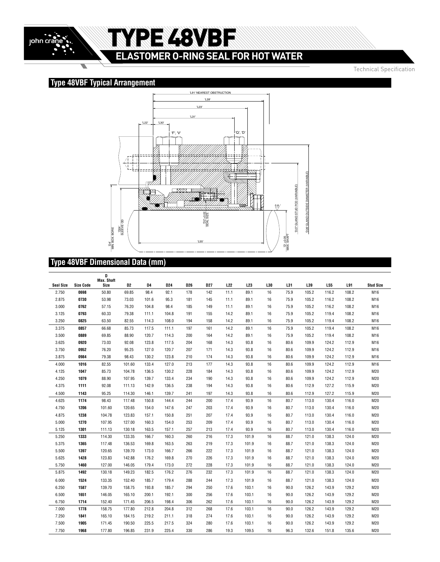

# TYPE 48VBF

### **ELASTOMER O-RING SEAL FOR HOT WATER**

Technical Specification

### **Type 48VBF Typical Arrangement**



### **Type 48VBF Dimensional Data (mm)**

|                  |                  | D<br><b>Max. Shaft</b> |                |                |            |                 |            |                 |                 |     |      |       |                 |       |                  |
|------------------|------------------|------------------------|----------------|----------------|------------|-----------------|------------|-----------------|-----------------|-----|------|-------|-----------------|-------|------------------|
| <b>Seal Size</b> | <b>Size Code</b> | Size                   | D <sub>2</sub> | D <sub>4</sub> | <b>D24</b> | D <sub>26</sub> | <b>D27</b> | L <sub>22</sub> | L <sub>23</sub> | L30 | L31  | L39   | L <sub>55</sub> | L91   | <b>Stud Size</b> |
| 2.750            | 0698             | 50.80                  | 69.85          | 98.4           | 92.1       | 178             | 142        | 11.1            | 89.1            | 16  | 75.9 | 105.2 | 116.2           | 108.2 | M16              |
| 2.875            | 0730             | 53.98                  | 73.03          | 101.6          | 95.3       | 181             | 145        | 11.1            | 89.1            | 16  | 75.9 | 105.2 | 116.2           | 108.2 | M16              |
| 3.000            | 0762             | 57.15                  | 76.20          | 104.8          | 98.4       | 185             | 149        | 11.1            | 89.1            | 16  | 75.9 | 105.2 | 116.2           | 108.2 | M16              |
| 3.125            | 0793             | 60.33                  | 79.38          | 111.1          | 104.8      | 191             | 155        | 14.2            | 89.1            | 16  | 75.9 | 105.2 | 119.4           | 108.2 | M16              |
| 3.250            | 0825             | 63.50                  | 82.55          | 114.3          | 108.0      | 194             | 158        | 14.2            | 89.1            | 16  | 75.9 | 105.2 | 119.4           | 108.2 | M16              |
| 3.375            | 0857             | 66.68                  | 85.73          | 117.5          | 111.1      | 197             | 161        | 14.2            | 89.1            | 16  | 75.9 | 105.2 | 119.4           | 108.2 | M16              |
| 3.500            | 0889             | 69.85                  | 88.90          | 120.7          | 114.3      | 200             | 164        | 14.2            | 89.1            | 16  | 75.9 | 105.2 | 119.4           | 108.2 | M16              |
| 3.625            | 0920             | 73.03                  | 92.08          | 123.8          | 117.5      | 204             | 168        | 14.3            | 93.8            | 16  | 80.6 | 109.9 | 124.2           | 112.9 | M16              |
| 3.750            | 0952             | 76.20                  | 95.25          | 127.0          | 120.7      | 207             | 171        | 14.3            | 93.8            | 16  | 80.6 | 109.9 | 124.2           | 112.9 | M16              |
| 3.875            | 0984             | 79.38                  | 98.43          | 130.2          | 123.8      | 210             | 174        | 14.3            | 93.8            | 16  | 80.6 | 109.9 | 124.2           | 112.9 | M16              |
| 4.000            | 1016             | 82.55                  | 101.60         | 133.4          | 127.0      | 213             | 177        | 14.3            | 93.8            | 16  | 80.6 | 109.9 | 124.2           | 112.9 | M16              |
| 4.125            | 1047             | 85.73                  | 104.78         | 136.5          | 130.2      | 228             | 184        | 14.3            | 93.8            | 16  | 80.6 | 109.9 | 124.2           | 112.9 | M20              |
| 4.250            | 1079             | 88.90                  | 107.95         | 139.7          | 133.4      | 234             | 190        | 14.3            | 93.8            | 16  | 80.6 | 109.9 | 124.2           | 112.9 | M20              |
| 4.375            | 1111             | 92.08                  | 111.13         | 142.9          | 136.5      | 238             | 194        | 14.3            | 93.8            | 16  | 80.6 | 112.9 | 127.2           | 115.9 | M20              |
| 4.500            | 1143             | 95.25                  | 114.30         | 146.1          | 139.7      | 241             | 197        | 14.3            | 93.8            | 16  | 80.6 | 112.9 | 127.2           | 115.9 | M20              |
| 4.625            | 1174             | 98.43                  | 117.48         | 150.8          | 144.4      | 244             | 200        | 17.4            | 93.9            | 16  | 80.7 | 113.0 | 130.4           | 116.0 | M20              |
| 4.750            | 1206             | 101.60                 | 120.65         | 154.0          | 147.6      | 247             | 203        | 17.4            | 93.9            | 16  | 80.7 | 113.0 | 130.4           | 116.0 | M20              |
| 4.875            | 1238             | 104.78                 | 123.83         | 157.1          | 150.8      | 251             | 207        | 17.4            | 93.9            | 16  | 80.7 | 113.0 | 130.4           | 116.0 | M20              |
| 5.000            | 1270             | 107.95                 | 127.00         | 160.3          | 154.0      | 253             | 209        | 17.4            | 93.9            | 16  | 80.7 | 113.0 | 130.4           | 116.0 | M20              |
| 5.125            | 1301             | 111.13                 | 130.18         | 163.5          | 157.1      | 257             | 213        | 17.4            | 93.9            | 16  | 80.7 | 113.0 | 130.4           | 116.0 | M20              |
| 5.250            | 1333             | 114.30                 | 133.35         | 166.7          | 160.3      | 260             | 216        | 17.3            | 101.9           | 16  | 88.7 | 121.0 | 138.3           | 124.0 | M20              |
| 5.375            | 1365             | 117.48                 | 136.53         | 169.8          | 163.5      | 263             | 219        | 17.3            | 101.9           | 16  | 88.7 | 121.0 | 138.3           | 124.0 | M20              |
| 5.500            | 1397             | 120.65                 | 139.70         | 173.0          | 166.7      | 266             | 222        | 17.3            | 101.9           | 16  | 88.7 | 121.0 | 138.3           | 124.0 | M20              |
| 5.625            | 1428             | 123.83                 | 142.88         | 176.2          | 169.8      | 270             | 226        | 17.3            | 101.9           | 16  | 88.7 | 121.0 | 138.3           | 124.0 | M20              |
| 5.750            | 1460             | 127.00                 | 146.05         | 179.4          | 173.0      | 272             | 228        | 17.3            | 101.9           | 16  | 88.7 | 121.0 | 138.3           | 124.0 | M20              |
| 5.875            | 1492             | 130.18                 | 149.23         | 182.5          | 176.2      | 276             | 232        | 17.3            | 101.9           | 16  | 88.7 | 121.0 | 138.3           | 124.0 | M20              |
| 6.000            | 1524             | 133.35                 | 152.40         | 185.7          | 179.4      | 288             | 244        | 17.3            | 101.9           | 16  | 88.7 | 121.0 | 138.3           | 124.0 | M20              |
| 6.250            | 1587             | 139.70                 | 158.75         | 193.8          | 185.7      | 294             | 250        | 17.6            | 103.1           | 16  | 90.0 | 126.2 | 143.9           | 129.2 | M20              |
| 6.500            | 1651             | 146.05                 | 165.10         | 200.1          | 192.1      | 300             | 256        | 17.6            | 103.1           | 16  | 90.0 | 126.2 | 143.9           | 129.2 | M20              |
| 6.750            | 1714             | 152.40                 | 171.45         | 206.5          | 198.4      | 306             | 262        | 17.6            | 103.1           | 16  | 90.0 | 126.2 | 143.9           | 129.2 | M20              |
| 7.000            | 1778             | 158.75                 | 177.80         | 212.8          | 204.8      | 312             | 268        | 17.6            | 103.1           | 16  | 90.0 | 126.2 | 143.9           | 129.2 | M20              |
| 7.250            | 1841             | 165.10                 | 184.15         | 219.2          | 211.1      | 318             | 274        | 17.6            | 103.1           | 16  | 90.0 | 126.2 | 143.9           | 129.2 | M20              |
| 7.500            | 1905             | 171.45                 | 190.50         | 225.5          | 217.5      | 324             | 280        | 17.6            | 103.1           | 16  | 90.0 | 126.2 | 143.9           | 129.2 | M20              |
| 7.750            | 1968             | 177.80                 | 196.85         | 231.9          | 225.4      | 330             | 286        | 19.3            | 109.5           | 16  | 96.3 | 132.6 | 151.8           | 135.6 | M20              |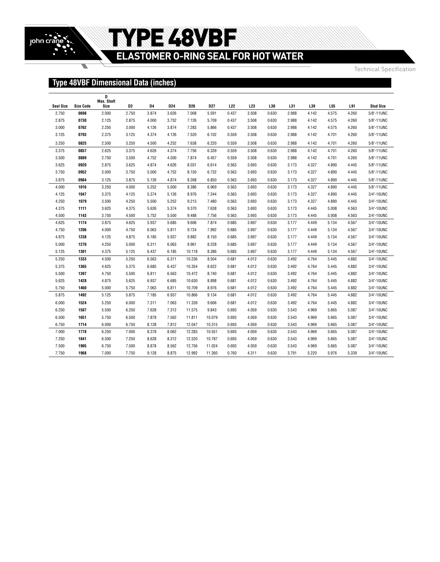

## TYPE 48VBF **ELASTOMER O-RING SEAL FOR HOT WATER**

Technical Specification

### **Type 48VBF Dimensional Data (inches)**

|                  |                  | D<br><b>Max. Shaft</b> |       |       |                 |            |            |                 |                 |       |            |       |       |       |                  |
|------------------|------------------|------------------------|-------|-------|-----------------|------------|------------|-----------------|-----------------|-------|------------|-------|-------|-------|------------------|
| <b>Seal Size</b> | <b>Size Code</b> | Size                   | D2    | D4    | D <sub>24</sub> | <b>D26</b> | <b>D27</b> | L <sub>22</sub> | L <sub>23</sub> | L30   | <b>L31</b> | L39   | L55   | L91   | <b>Stud Size</b> |
| 2.750            | 0698             | 2.000                  | 2.750 | 3.874 | 3.626           | 7.008      | 5.591      | 0.437           | 3.508           | 0.630 | 2.988      | 4.142 | 4.575 | 4.260 | 5/8"-11UNC       |
| 2.875            | 0730             | 2.125                  | 2.875 | 4.000 | 3.752           | 7.126      | 5.709      | 0.437           | 3.508           | 0.630 | 2.988      | 4.142 | 4.575 | 4.260 | 5/8"-11UNC       |
| 3.000            | 0762             | 2.250                  | 3.000 | 4.126 | 3.874           | 7.283      | 5.866      | 0.437           | 3.508           | 0.630 | 2.988      | 4.142 | 4.575 | 4.260 | 5/8"-11UNC       |
| 3.125            | 0793             | 2.375                  | 3.125 | 4.374 | 4.126           | 7.520      | 6.102      | 0.559           | 3.508           | 0.630 | 2.988      | 4.142 | 4.701 | 4.260 | 5/8"-11UNC       |
| 3.250            | 0825             | 2.500                  | 3.250 | 4.500 | 4.252           | 7.638      | 6.220      | 0.559           | 3.508           | 0.630 | 2.988      | 4.142 | 4.701 | 4.260 | 5/8"-11UNC       |
| 3.375            | 0857             | 2.625                  | 3.375 | 4.626 | 4.374           | 7.756      | 6.339      | 0.559           | 3.508           | 0.630 | 2.988      | 4.142 | 4.701 | 4.260 | 5/8"-11UNC       |
| 3.500            | 0889             | 2.750                  | 3.500 | 4.752 | 4.500           | 7.874      | 6.457      | 0.559           | 3.508           | 0.630 | 2.988      | 4.142 | 4.701 | 4.260 | 5/8"-11UNC       |
| 3.625            | 0920             | 2.875                  | 3.625 | 4.874 | 4.626           | 8.031      | 6.614      | 0.563           | 3.693           | 0.630 | 3.173      | 4.327 | 4.890 | 4.445 | 5/8"-11UNC       |
| 3.750            | 0952             | 3.000                  | 3.750 | 5.000 | 4.752           | 8.150      | 6.732      | 0.563           | 3.693           | 0.630 | 3.173      | 4.327 | 4.890 | 4.445 | 5/8"-11UNC       |
| 3.875            | 0984             | 3.125                  | 3.875 | 5.126 | 4.874           | 8.268      | 6.850      | 0.563           | 3.693           | 0.630 | 3.173      | 4.327 | 4.890 | 4.445 | 5/8"-11UNC       |
| 4.000            | 1016             | 3.250                  | 4.000 | 5.252 | 5.000           | 8.386      | 6.969      | 0.563           | 3.693           | 0.630 | 3.173      | 4.327 | 4.890 | 4.445 | 5/8"-11UNC       |
| 4.125            | 1047             | 3.375                  | 4.125 | 5.374 | 5.126           | 8.976      | 7.244      | 0.563           | 3.693           | 0.630 | 3.173      | 4.327 | 4.890 | 4.445 | 3/4"-10UNC       |
| 4.250            | 1079             | 3.500                  | 4.250 | 5.500 | 5.252           | 9.213      | 7.480      | 0.563           | 3.693           | 0.630 | 3.173      | 4.327 | 4.890 | 4.445 | 3/4"-10UNC       |
| 4.375            | 1111             | 3.625                  | 4.375 | 5.626 | 5.374           | 9.370      | 7.638      | 0.563           | 3.693           | 0.630 | 3.173      | 4.445 | 5.008 | 4.563 | 3/4"-10UNC       |
| 4.500            | 1143             | 3.750                  | 4.500 | 5.752 | 5.500           | 9.488      | 7.756      | 0.563           | 3.693           | 0.630 | 3.173      | 4.445 | 5.008 | 4.563 | 3/4"-10UNC       |
| 4.625            | 1174             | 3.875                  | 4.625 | 5.937 | 5.685           | 9.606      | 7.874      | 0.685           | 3.697           | 0.630 | 3.177      | 4.449 | 5.134 | 4.567 | 3/4"-10UNC       |
| 4.750            | 1206             | 4.000                  | 4.750 | 6.063 | 5.811           | 9.724      | 7.992      | 0.685           | 3.697           | 0.630 | 3.177      | 4.449 | 5.134 | 4.567 | 3/4"-10UNC       |
| 4.875            | 1238             | 4.125                  | 4.875 | 6.185 | 5.937           | 9.882      | 8.150      | 0.685           | 3.697           | 0.630 | 3.177      | 4.449 | 5.134 | 4.567 | 3/4"-10UNC       |
| 5.000            | 1270             | 4.250                  | 5.000 | 6.311 | 6.063           | 9.961      | 8.228      | 0.685           | 3.697           | 0.630 | 3.177      | 4.449 | 5.134 | 4.567 | 3/4"-10UNC       |
| 5.125            | 1301             | 4.375                  | 5.125 | 6.437 | 6.185           | 10.118     | 8.386      | 0.685           | 3.697           | 0.630 | 3.177      | 4.449 | 5.134 | 4.567 | 3/4"-10UNC       |
| 5.250            | 1333             | 4.500                  | 5.250 | 6.563 | 6.311           | 10.236     | 8.504      | 0.681           | 4.012           | 0.630 | 3.492      | 4.764 | 5.445 | 4.882 | 3/4"-10UNC       |
| 5.375            | 1365             | 4.625                  | 5.375 | 6.685 | 6.437           | 10.354     | 8.622      | 0.681           | 4.012           | 0.630 | 3.492      | 4.764 | 5.445 | 4.882 | 3/4"-10UNC       |
| 5.500            | 1397             | 4.750                  | 5.500 | 6.811 | 6.563           | 10.472     | 8.740      | 0.681           | 4.012           | 0.630 | 3.492      | 4.764 | 5.445 | 4.882 | 3/4"-10UNC       |
| 5.625            | 1428             | 4.875                  | 5.625 | 6.937 | 6.685           | 10.630     | 8.898      | 0.681           | 4.012           | 0.630 | 3.492      | 4.764 | 5.445 | 4.882 | 3/4"-10UNC       |
| 5.750            | 1460             | 5.000                  | 5.750 | 7.063 | 6.811           | 10.709     | 8.976      | 0.681           | 4.012           | 0.630 | 3.492      | 4.764 | 5.445 | 4.882 | 3/4"-10UNC       |
| 5.875            | 1492             | 5.125                  | 5.875 | 7.185 | 6.937           | 10.866     | 9.134      | 0.681           | 4.012           | 0.630 | 3.492      | 4.764 | 5.445 | 4.882 | 3/4"-10UNC       |
| 6.000            | 1524             | 5.250                  | 6.000 | 7.311 | 7.063           | 11.339     | 9.606      | 0.681           | 4.012           | 0.630 | 3.492      | 4.764 | 5.445 | 4.882 | 3/4"-10UNC       |
| 6.250            | 1587             | 5.500                  | 6.250 | 7.628 | 7.312           | 11.575     | 9.843      | 0.693           | 4.059           | 0.630 | 3.543      | 4.969 | 5.665 | 5.087 | 3/4"-10UNC       |
| 6.500            | 1651             | 5.750                  | 6.500 | 7.878 | 7.562           | 11.811     | 10.079     | 0.693           | 4.059           | 0.630 | 3.543      | 4.969 | 5.665 | 5.087 | 3/4"-10UNC       |
| 6.750            | 1714             | 6.000                  | 6.750 | 8.128 | 7.812           | 12.047     | 10.315     | 0.693           | 4.059           | 0.630 | 3.543      | 4.969 | 5.665 | 5.087 | 3/4"-10UNC       |
| 7.000            | 1778             | 6.250                  | 7.000 | 8.378 | 8.062           | 12.283     | 10.551     | 0.693           | 4.059           | 0.630 | 3.543      | 4.969 | 5.665 | 5.087 | 3/4"-10UNC       |
| 7.250            | 1841             | 6.500                  | 7.250 | 8.628 | 8.312           | 12.520     | 10.787     | 0.693           | 4.059           | 0.630 | 3.543      | 4.969 | 5.665 | 5.087 | 3/4"-10UNC       |
| 7.500            | 1905             | 6.750                  | 7.500 | 8.878 | 8.562           | 12.756     | 11.024     | 0.693           | 4.059           | 0.630 | 3.543      | 4.969 | 5.665 | 5.087 | 3/4"-10UNC       |
| 7.750            | 1968             | 7.000                  | 7.750 | 9.128 | 8.875           | 12.992     | 11.260     | 0.760           | 4.311           | 0.630 | 3.791      | 5.220 | 5.976 | 5.339 | 3/4"-10UNC       |